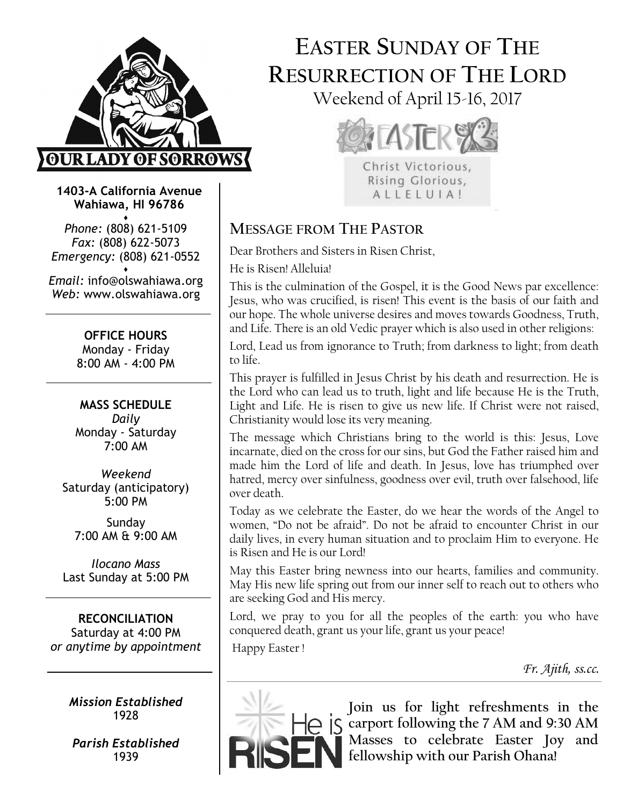

# EASTER SUNDAY OF THE RESURRECTION OF THE LORD Weekend of April 15-16, 2017



Christ Victorious, Rising Glorious, ALLELUIA!

#### Wahiawa, HI 96786 ♦

Phone: (808) 621-5109 Fax: (808) 622-5073 Emergency: (808) 621-0552

1403-A California Avenue

♦ Email: info@olswahiawa.org Web: www.olswahiawa.org

> OFFICE HOURS Monday - Friday

8:00 AM - 4:00 PM

MASS SCHEDULE Daily Monday - Saturday 7:00 AM

Weekend Saturday (anticipatory) 5:00 PM

Sunday 7:00 AM & 9:00 AM

Ilocano Mass Last Sunday at 5:00 PM

RECONCILIATION Saturday at 4:00 PM or anytime by appointment

> Mission Established 1928

Parish Established 1939

# MESSAGE FROM THE PASTOR

Dear Brothers and Sisters in Risen Christ,

He is Risen! Alleluia!

This is the culmination of the Gospel, it is the Good News par excellence: Jesus, who was crucified, is risen! This event is the basis of our faith and our hope. The whole universe desires and moves towards Goodness, Truth, and Life. There is an old Vedic prayer which is also used in other religions:

Lord, Lead us from ignorance to Truth; from darkness to light; from death to life.

This prayer is fulfilled in Jesus Christ by his death and resurrection. He is the Lord who can lead us to truth, light and life because He is the Truth, Light and Life. He is risen to give us new life. If Christ were not raised, Christianity would lose its very meaning.

The message which Christians bring to the world is this: Jesus, Love incarnate, died on the cross for our sins, but God the Father raised him and made him the Lord of life and death. In Jesus, love has triumphed over hatred, mercy over sinfulness, goodness over evil, truth over falsehood, life over death.

Today as we celebrate the Easter, do we hear the words of the Angel to women, "Do not be afraid". Do not be afraid to encounter Christ in our daily lives, in every human situation and to proclaim Him to everyone. He is Risen and He is our Lord!

May this Easter bring newness into our hearts, families and community. May His new life spring out from our inner self to reach out to others who are seeking God and His mercy.

Lord, we pray to you for all the peoples of the earth: you who have conquered death, grant us your life, grant us your peace!

Happy Easter !

Fr. Ajith, ss.cc.



Join us for light refreshments in the carport following the 7 AM and 9:30 AM Masses to celebrate Easter Joy and fellowship with our Parish Ohana!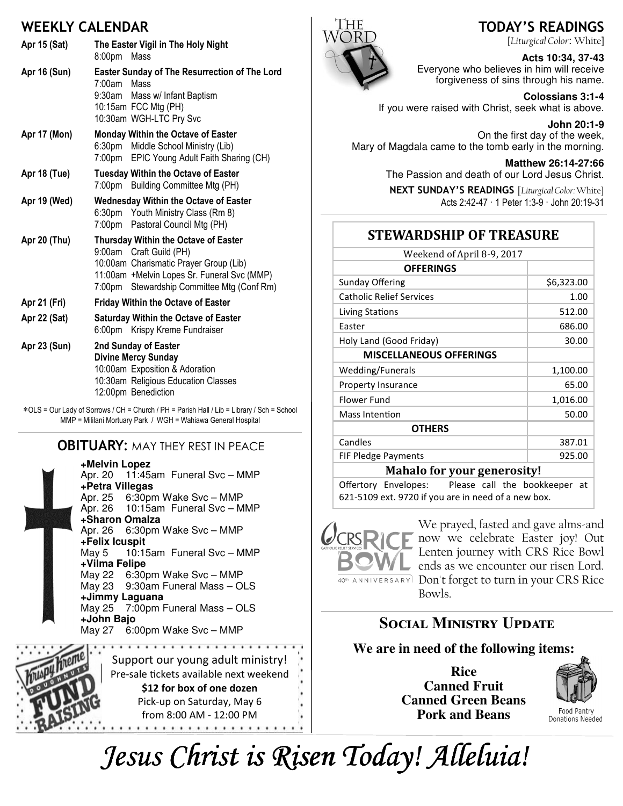### WEEKLY CALENDAR

| Apr 15 (Sat)        | The Easter Vigil in The Holy Night<br>8:00pm<br>Mass                                                                                                                                                      |
|---------------------|-----------------------------------------------------------------------------------------------------------------------------------------------------------------------------------------------------------|
| <b>Apr 16 (Sun)</b> | <b>Easter Sunday of The Resurrection of The Lord</b><br>7:00am<br>Mass<br>9:30am Mass w/ Infant Baptism<br>10:15am FCC Mtg (PH)<br>10:30am WGH-LTC Pry Svc                                                |
| Apr 17 (Mon)        | <b>Monday Within the Octave of Easter</b><br>6:30pm Middle School Ministry (Lib)<br>7:00pm EPIC Young Adult Faith Sharing (CH)                                                                            |
| Apr 18 (Tue)        | <b>Tuesday Within the Octave of Easter</b><br>7:00pm Building Committee Mtg (PH)                                                                                                                          |
| Apr 19 (Wed)        | <b>Wednesday Within the Octave of Easter</b><br>6:30pm Youth Ministry Class (Rm 8)<br>7:00pm Pastoral Council Mtg (PH)                                                                                    |
| Apr 20 (Thu)        | Thursday Within the Octave of Easter<br>9:00am Craft Guild (PH)<br>10:00am Charismatic Prayer Group (Lib)<br>11:00am +Melvin Lopes Sr. Funeral Svc (MMP)<br>Stewardship Committee Mtg (Conf Rm)<br>7:00pm |
| Apr 21 (Fri)        | <b>Friday Within the Octave of Easter</b>                                                                                                                                                                 |
| Apr 22 (Sat)        | <b>Saturday Within the Octave of Easter</b><br>6:00pm Krispy Kreme Fundraiser                                                                                                                             |
| Apr 23 (Sun)        | 2nd Sunday of Easter<br><b>Divine Mercy Sunday</b><br>10:00am Exposition & Adoration<br>10:30am Religious Education Classes<br>12:00pm Benediction                                                        |

∗OLS = Our Lady of Sorrows / CH = Church / PH = Parish Hall / Lib = Library / Sch = School MMP = Mililani Mortuary Park / WGH = Wahiawa General Hospital

#### **OBITUARY: MAY THEY REST IN PEACE**

**+Melvin Lopez** Apr. 20 11:45am Funeral Svc – MMP **+Petra Villegas** Apr. 25 6:30pm Wake Svc – MMP<br>Apr. 26 10:15am Funeral Svc – M 10:15am Funeral Svc - MMP **+Sharon Omalza** 6:30pm Wake Svc – MMP **+Felix Icuspit** May 5 10:15am Funeral Svc – MMP **+Vilma Felipe** May 22 6:30pm Wake Svc – MMP May 23 9:30am Funeral Mass – OLS **+Jimmy Laguana** May 25 7:00pm Funeral Mass – OLS **+John Bajo** May 27 6:00pm Wake Svc – MMP





**Acts 10:34, 37-43**  Everyone who believes in him will receive forgiveness of sins through his name.

**Colossians 3:1-4**  If you were raised with Christ, seek what is above.

**John 20:1-9**  On the first day of the week, Mary of Magdala came to the tomb early in the morning.

> **Matthew 26:14-27:66**  The Passion and death of our Lord Jesus Christ.

NEXT SUNDAY'S READINGS [Liturgical Color: White] Acts 2:42-47 · 1 Peter 1:3-9 · John 20:19-31

### **STEWARDSHIP OF TREASURE**

| Weekend of April 8-9, 2017      |            |  |
|---------------------------------|------------|--|
| <b>OFFERINGS</b>                |            |  |
| <b>Sunday Offering</b>          | \$6,323.00 |  |
| <b>Catholic Relief Services</b> | 1.00       |  |
| Living Stations                 | 512.00     |  |
| Easter                          | 686.00     |  |
| Holy Land (Good Friday)         | 30.00      |  |
| <b>MISCELLANEOUS OFFERINGS</b>  |            |  |
| Wedding/Funerals                | 1,100.00   |  |
| Property Insurance              | 65.00      |  |
| Flower Fund                     | 1,016.00   |  |
| <b>Mass Intention</b>           | 50.00      |  |
| <b>OTHERS</b>                   |            |  |
| Candles                         | 387.01     |  |
| FIF Pledge Payments             | 925.00     |  |
| Moholo for your generogity      |            |  |

Mahalo for your generosity!

Offertory Envelopes: Please call the bookkeeper at 621-5109 ext. 9720 if you are in need of a new box.



We prayed, fasted and gave alms-and now we celebrate Easter joy! Out Lenten journey with CRS Rice Bowl ends as we encounter our risen Lord. 40th ANNIVERSARY Don't forget to turn in your CRS Rice Bowls.

# Social Ministry Update

### **We are in need of the following items:**

**Rice Canned Fruit Canned Green Beans Pork and Beans**



Food Pantry Donations Needed

Jesus Christ is Risen Today! Alleluia!

#### TODAY'S READINGS [Liturgical Color: White]